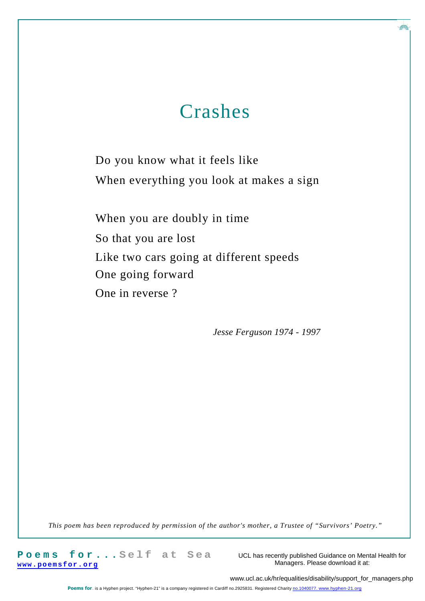### Crashes

Do you know what it feels like When everything you look at makes a sign

When you are doubly in time So that you are lost Like two cars going at different speeds One going forward One in reverse ?

*Jesse Ferguson 1974 - 1997*

*This poem has been reproduced by permission of the author's mother, a Trustee of "Survivors' Poetry."*

**P o e m s f o r . . . S e l f a t S e a www.poem sfor. org**

UCL has recently published Guidance on Mental Health for Managers. Please download it at:

**AR** 

www.ucl.ac.uk/hr/equalities/disability/support\_for\_managers.php

Poems for\_ is a Hyphen project. "Hyphen-21" is a company registered in Cardiff no.2925831. Registered Charity no.1040077. www.hyphen-21.org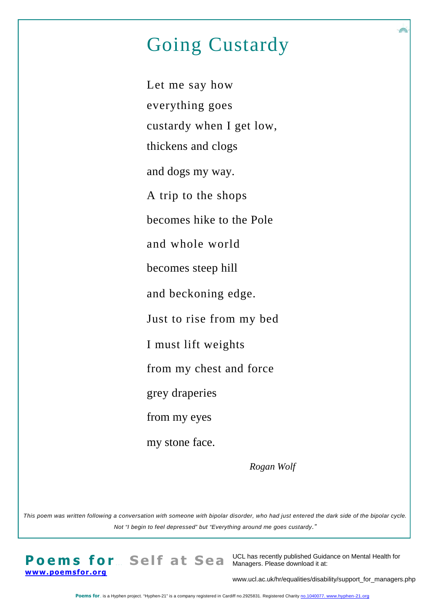# Going Custardy

Let me say how everything goes custardy when I get low, thickens and clogs and dogs my way. A trip to the shops becomes hike to the Pole and whole world becomes steep hill and beckoning edge. Just to rise from my bed I must lift weights from my chest and force grey draperies from my eyes my stone face.

*Rogan Wolf*

*This poem was written following a conversation with someone with bipolar disorder, who had just entered the dark side of the bipolar cycle. Not "I begin to feel depressed" but "Everything around me goes custardy."*

**Poems for ... Self at Sea** Managers. Please download it at: **www.poemsfor.org**

UCL has recently published Guidance on Mental Health for

www.ucl.ac.uk/hr/equalities/disability/support\_for\_managers.php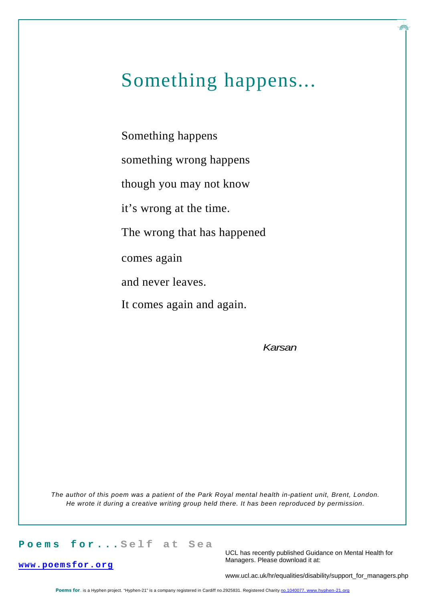# Something happens...

Something happens something wrong happens though you may not know it's wrong at the time. The wrong that has happened comes again and never leaves. It comes again and again.

*Karsan*

*The author of this poem was a patient of the Park Royal mental health in-patient unit, Brent, London. He wrote it during a creative writing group held there. It has been reproduced by permission.*

#### **P o e m s f o r . . . S e l f a t S e a**

**www.poemsfor.org**

UCL has recently published Guidance on Mental Health for Managers. Please download it at:

www.ucl.ac.uk/hr/equalities/disability/support\_for\_managers.php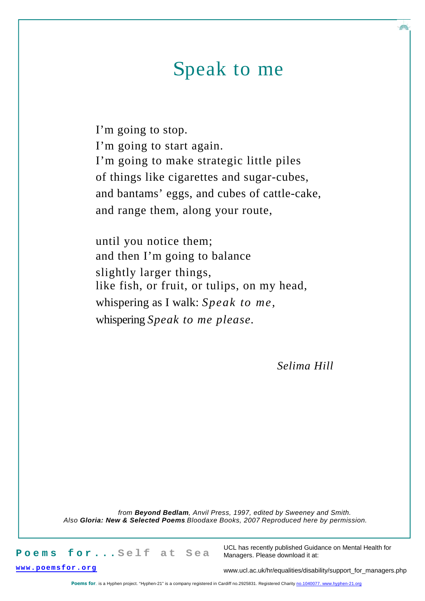# Speak to me

I'm going to stop. I'm going to start again. I'm going to make strategic little piles of things like cigarettes and sugar-cubes, and bantams' eggs, and cubes of cattle-cake, and range them, along your route,

until you notice them; and then I'm going to balance slightly larger things, like fish, or fruit, or tulips, on my head, whispering as I walk: *Speak to me,* whispering *Speak to me please.*

*Selima Hill*

*from Beyond Bedlam, Anvil Press, 1997, edited by Sweeney and Smith. Also Gloria: New & Selected Poems***,***Bloodaxe Books, 2007*. *Reproduced here by permission.*

Poems for...Self at Sea

UCL has recently published Guidance on Mental Health for Managers. Please download it at:

**www.poem sfor. org**

www.ucl.ac.uk/hr/equalities/disability/support\_for\_managers.php